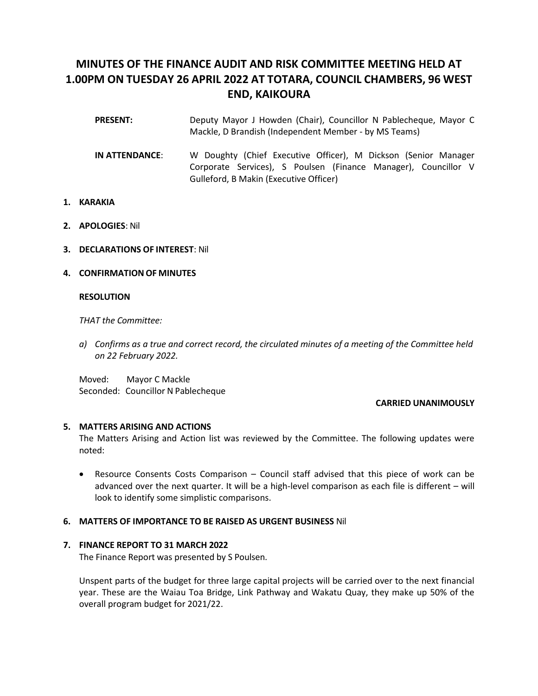# **MINUTES OF THE FINANCE AUDIT AND RISK COMMITTEE MEETING HELD AT 1.00PM ON TUESDAY 26 APRIL 2022 AT TOTARA, COUNCIL CHAMBERS, 96 WEST END, KAIKOURA**

- **PRESENT:** Deputy Mayor J Howden (Chair), Councillor N Pablecheque, Mayor C Mackle, D Brandish (Independent Member - by MS Teams)
- **IN ATTENDANCE**: W Doughty (Chief Executive Officer), M Dickson (Senior Manager Corporate Services), S Poulsen (Finance Manager), Councillor V Gulleford, B Makin (Executive Officer)
- **1. KARAKIA**
- **2. APOLOGIES**: Nil
- **3. DECLARATIONS OF INTEREST**: Nil
- **4. CONFIRMATION OF MINUTES**

# **RESOLUTION**

*THAT the Committee:*

*a) Confirms as a true and correct record, the circulated minutes of a meeting of the Committee held on 22 February 2022.*

Moved: Mayor C Mackle Seconded: Councillor N Pablecheque

# **CARRIED UNANIMOUSLY**

# **5. MATTERS ARISING AND ACTIONS**

The Matters Arising and Action list was reviewed by the Committee. The following updates were noted:

• Resource Consents Costs Comparison – Council staff advised that this piece of work can be advanced over the next quarter. It will be a high-level comparison as each file is different – will look to identify some simplistic comparisons.

# **6. MATTERS OF IMPORTANCE TO BE RAISED AS URGENT BUSINESS** Nil

# **7. FINANCE REPORT TO 31 MARCH 2022**

The Finance Report was presented by S Poulsen.

Unspent parts of the budget for three large capital projects will be carried over to the next financial year. These are the Waiau Toa Bridge, Link Pathway and Wakatu Quay, they make up 50% of the overall program budget for 2021/22.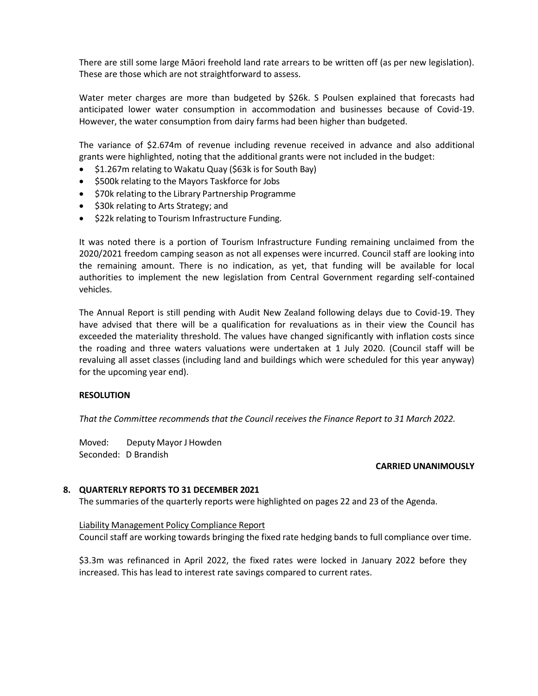There are still some large Māori freehold land rate arrears to be written off (as per new legislation). These are those which are not straightforward to assess.

Water meter charges are more than budgeted by \$26k. S Poulsen explained that forecasts had anticipated lower water consumption in accommodation and businesses because of Covid-19. However, the water consumption from dairy farms had been higher than budgeted.

The variance of \$2.674m of revenue including revenue received in advance and also additional grants were highlighted, noting that the additional grants were not included in the budget:

- \$1.267m relating to Wakatu Quay (\$63k is for South Bay)
- \$500k relating to the Mayors Taskforce for Jobs
- \$70k relating to the Library Partnership Programme
- \$30k relating to Arts Strategy; and
- \$22k relating to Tourism Infrastructure Funding.

It was noted there is a portion of Tourism Infrastructure Funding remaining unclaimed from the 2020/2021 freedom camping season as not all expenses were incurred. Council staff are looking into the remaining amount. There is no indication, as yet, that funding will be available for local authorities to implement the new legislation from Central Government regarding self-contained vehicles.

The Annual Report is still pending with Audit New Zealand following delays due to Covid-19. They have advised that there will be a qualification for revaluations as in their view the Council has exceeded the materiality threshold. The values have changed significantly with inflation costs since the roading and three waters valuations were undertaken at 1 July 2020. (Council staff will be revaluing all asset classes (including land and buildings which were scheduled for this year anyway) for the upcoming year end).

# **RESOLUTION**

*That the Committee recommends that the Council receives the Finance Report to 31 March 2022.*

Moved: Deputy Mayor J Howden Seconded: D Brandish

# **CARRIED UNANIMOUSLY**

# **8. QUARTERLY REPORTS TO 31 DECEMBER 2021**

The summaries of the quarterly reports were highlighted on pages 22 and 23 of the Agenda.

# Liability Management Policy Compliance Report

Council staff are working towards bringing the fixed rate hedging bands to full compliance over time.

\$3.3m was refinanced in April 2022, the fixed rates were locked in January 2022 before they increased. This has lead to interest rate savings compared to current rates.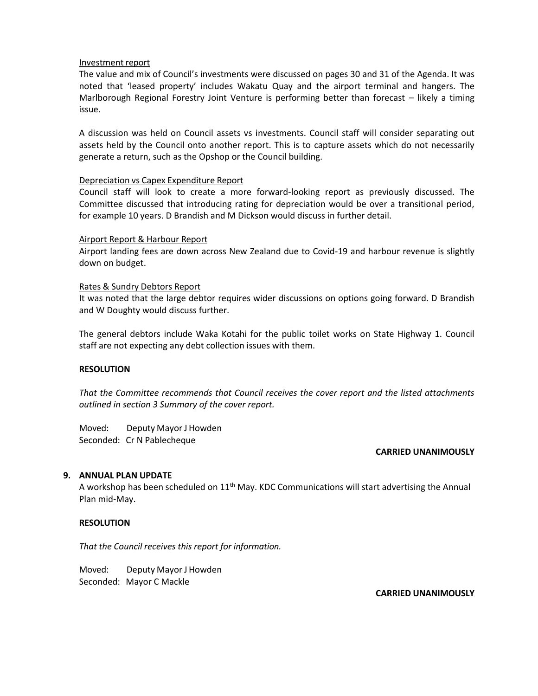# Investment report

The value and mix of Council's investments were discussed on pages 30 and 31 of the Agenda. It was noted that 'leased property' includes Wakatu Quay and the airport terminal and hangers. The Marlborough Regional Forestry Joint Venture is performing better than forecast – likely a timing issue.

A discussion was held on Council assets vs investments. Council staff will consider separating out assets held by the Council onto another report. This is to capture assets which do not necessarily generate a return, such as the Opshop or the Council building.

# Depreciation vs Capex Expenditure Report

Council staff will look to create a more forward-looking report as previously discussed. The Committee discussed that introducing rating for depreciation would be over a transitional period, for example 10 years. D Brandish and M Dickson would discuss in further detail.

# Airport Report & Harbour Report

Airport landing fees are down across New Zealand due to Covid-19 and harbour revenue is slightly down on budget.

# Rates & Sundry Debtors Report

It was noted that the large debtor requires wider discussions on options going forward. D Brandish and W Doughty would discuss further.

The general debtors include Waka Kotahi for the public toilet works on State Highway 1. Council staff are not expecting any debt collection issues with them.

# **RESOLUTION**

*That the Committee recommends that Council receives the cover report and the listed attachments outlined in section 3 Summary of the cover report.*

Moved: Deputy Mayor J Howden Seconded: Cr N Pablecheque

# **CARRIED UNANIMOUSLY**

# **9. ANNUAL PLAN UPDATE**

A workshop has been scheduled on  $11<sup>th</sup>$  May. KDC Communications will start advertising the Annual Plan mid-May.

# **RESOLUTION**

*That the Council receives this report for information.*

Moved: Deputy Mayor J Howden Seconded: Mayor C Mackle

**CARRIED UNANIMOUSLY**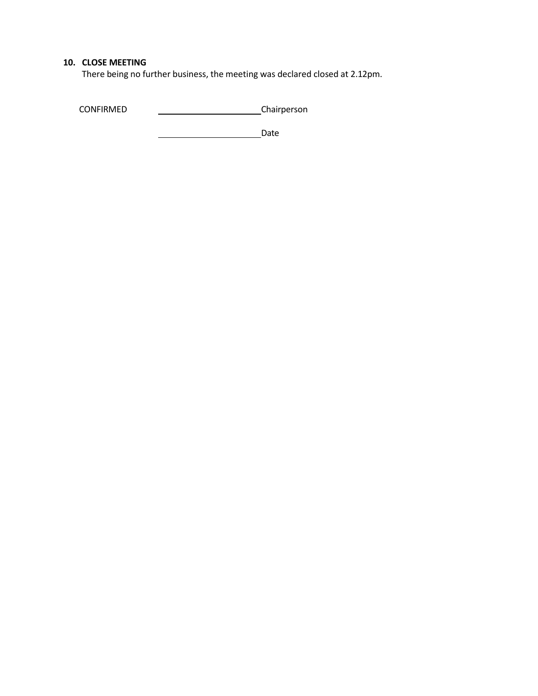# **10. CLOSE MEETING**

There being no further business, the meeting was declared closed at 2.12pm.

CONFIRMED CONFIRMED Chairperson

**Date** Date